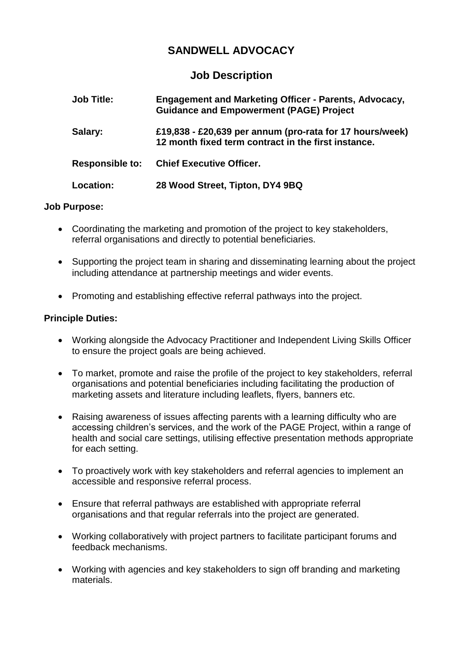## **SANDWELL ADVOCACY**

## **Job Description**

| <b>Job Title:</b>      | <b>Engagement and Marketing Officer - Parents, Advocacy,</b><br><b>Guidance and Empowerment (PAGE) Project</b>  |
|------------------------|-----------------------------------------------------------------------------------------------------------------|
| Salary:                | £19,838 - £20,639 per annum (pro-rata for 17 hours/week)<br>12 month fixed term contract in the first instance. |
| <b>Responsible to:</b> | <b>Chief Executive Officer.</b>                                                                                 |
| Location:              | 28 Wood Street, Tipton, DY4 9BQ                                                                                 |

## **Job Purpose:**

- Coordinating the marketing and promotion of the project to key stakeholders, referral organisations and directly to potential beneficiaries.
- Supporting the project team in sharing and disseminating learning about the project including attendance at partnership meetings and wider events.
- Promoting and establishing effective referral pathways into the project.

## **Principle Duties:**

- Working alongside the Advocacy Practitioner and Independent Living Skills Officer to ensure the project goals are being achieved.
- To market, promote and raise the profile of the project to key stakeholders, referral organisations and potential beneficiaries including facilitating the production of marketing assets and literature including leaflets, flyers, banners etc.
- Raising awareness of issues affecting parents with a learning difficulty who are accessing children's services, and the work of the PAGE Project, within a range of health and social care settings, utilising effective presentation methods appropriate for each setting.
- To proactively work with key stakeholders and referral agencies to implement an accessible and responsive referral process.
- Ensure that referral pathways are established with appropriate referral organisations and that regular referrals into the project are generated.
- Working collaboratively with project partners to facilitate participant forums and feedback mechanisms.
- Working with agencies and key stakeholders to sign off branding and marketing materials.